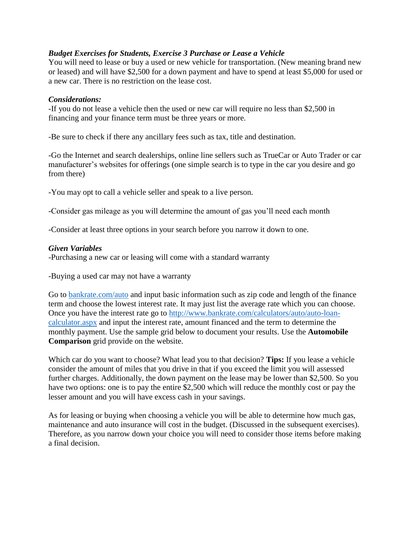## *Budget Exercises for Students, Exercise 3 Purchase or Lease a Vehicle*

You will need to lease or buy a used or new vehicle for transportation. (New meaning brand new or leased) and will have \$2,500 for a down payment and have to spend at least \$5,000 for used or a new car. There is no restriction on the lease cost.

## *Considerations:*

-If you do not lease a vehicle then the used or new car will require no less than \$2,500 in financing and your finance term must be three years or more.

-Be sure to check if there any ancillary fees such as tax, title and destination.

-Go the Internet and search dealerships, online line sellers such as TrueCar or Auto Trader or car manufacturer's websites for offerings (one simple search is to type in the car you desire and go from there)

-You may opt to call a vehicle seller and speak to a live person.

-Consider gas mileage as you will determine the amount of gas you'll need each month

-Consider at least three options in your search before you narrow it down to one.

## *Given Variables*

-Purchasing a new car or leasing will come with a standard warranty

-Buying a used car may not have a warranty

Go to [bankrate.com/auto](http://www.bankrate.com/auto.aspx) and input basic information such as zip code and length of the finance term and choose the lowest interest rate. It may just list the average rate which you can choose. Once you have the interest rate go to [http://www.bankrate.com/calculators/auto/auto-loan](http://www.bankrate.com/calculators/auto/auto-loan-calculator.aspx)[calculator.aspx](http://www.bankrate.com/calculators/auto/auto-loan-calculator.aspx) and input the interest rate, amount financed and the term to determine the monthly payment. Use the sample grid below to document your results. Use the **Automobile Comparison** grid provide on the website.

Which car do you want to choose? What lead you to that decision? **Tips:** If you lease a vehicle consider the amount of miles that you drive in that if you exceed the limit you will assessed further charges. Additionally, the down payment on the lease may be lower than \$2,500. So you have two options: one is to pay the entire \$2,500 which will reduce the monthly cost or pay the lesser amount and you will have excess cash in your savings.

As for leasing or buying when choosing a vehicle you will be able to determine how much gas, maintenance and auto insurance will cost in the budget. (Discussed in the subsequent exercises). Therefore, as you narrow down your choice you will need to consider those items before making a final decision.